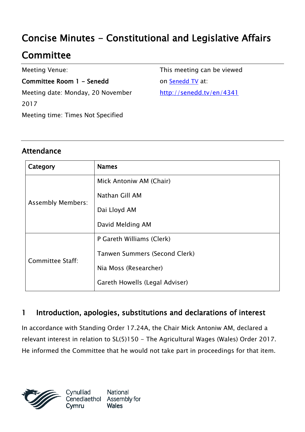# Concise Minutes - Constitutional and Legislative Affairs

# **Committee**

Meeting Venue:

Committee Room 1 - Senedd Meeting date: Monday, 20 November 2017 Meeting time: Times Not Specified

This meeting can be viewed on [Senedd TV](http://senedd.tv/) at: http://senedd.tv/en/4341

### Attendance

| Category                 | <b>Names</b>                   |
|--------------------------|--------------------------------|
| <b>Assembly Members:</b> | Mick Antoniw AM (Chair)        |
|                          | Nathan Gill AM                 |
|                          | Dai Lloyd AM                   |
|                          | David Melding AM               |
| Committee Staff:         | P Gareth Williams (Clerk)      |
|                          | Tanwen Summers (Second Clerk)  |
|                          | Nia Moss (Researcher)          |
|                          | Gareth Howells (Legal Adviser) |

### 1 Introduction, apologies, substitutions and declarations of interest

In accordance with Standing Order 17.24A, the Chair Mick Antoniw AM, declared a relevant interest in relation to SL(5)150 - The Agricultural Wages (Wales) Order 2017. He informed the Committee that he would not take part in proceedings for that item.



Cynulliad National Assembly for Cenedlaethol **Wales** Cvmru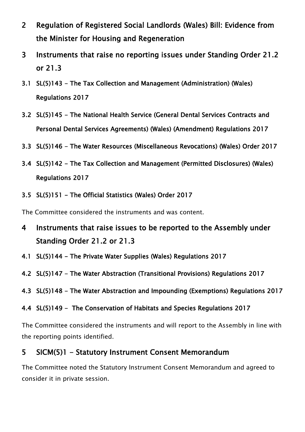- 2 Regulation of Registered Social Landlords (Wales) Bill: Evidence from the Minister for Housing and Regeneration
- 3 Instruments that raise no reporting issues under Standing Order 21.2 or 21.3
- 3.1 SL(5)143 The Tax Collection and Management (Administration) (Wales) Regulations 2017
- 3.2 SL(5)145 The National Health Service (General Dental Services Contracts and Personal Dental Services Agreements) (Wales) (Amendment) Regulations 2017
- 3.3 SL(5)146 The Water Resources (Miscellaneous Revocations) (Wales) Order 2017
- 3.4 SL(5)142 The Tax Collection and Management (Permitted Disclosures) (Wales) Regulations 2017
- 3.5 SL(5)151 The Official Statistics (Wales) Order 2017

The Committee considered the instruments and was content.

- 4 Instruments that raise issues to be reported to the Assembly under Standing Order 21.2 or 21.3
- 4.1 SL(5)144 The Private Water Supplies (Wales) Regulations 2017
- 4.2 SL(5)147 The Water Abstraction (Transitional Provisions) Regulations 2017
- 4.3 SL(5)148 The Water Abstraction and Impounding (Exemptions) Regulations 2017
- 4.4 SL(5)149 The Conservation of Habitats and Species Regulations 2017

The Committee considered the instruments and will report to the Assembly in line with the reporting points identified.

#### 5 SICM(5)1 - Statutory Instrument Consent Memorandum

The Committee noted the Statutory Instrument Consent Memorandum and agreed to consider it in private session.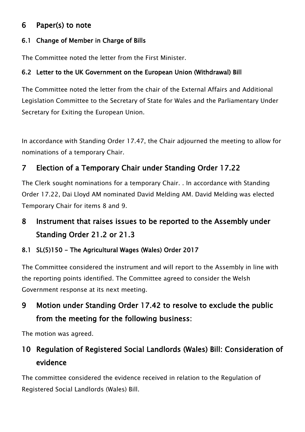### 6 Paper(s) to note

#### 6.1 Change of Member in Charge of Bills

The Committee noted the letter from the First Minister.

#### 6.2 Letter to the UK Government on the European Union (Withdrawal) Bill

The Committee noted the letter from the chair of the External Affairs and Additional Legislation Committee to the Secretary of State for Wales and the Parliamentary Under Secretary for Exiting the European Union.

In accordance with Standing Order 17.47, the Chair adjourned the meeting to allow for nominations of a temporary Chair.

### 7 Election of a Temporary Chair under Standing Order 17.22

The Clerk sought nominations for a temporary Chair. . In accordance with Standing Order 17.22, Dai Lloyd AM nominated David Melding AM. David Melding was elected Temporary Chair for items 8 and 9.

## 8 Instrument that raises issues to be reported to the Assembly under Standing Order 21.2 or 21.3

#### 8.1 SL(5)150 - The Agricultural Wages (Wales) Order 2017

The Committee considered the instrument and will report to the Assembly in line with the reporting points identified. The Committee agreed to consider the Welsh Government response at its next meeting.

## 9 Motion under Standing Order 17.42 to resolve to exclude the public from the meeting for the following business:

The motion was agreed.

## 10 Regulation of Registered Social Landlords (Wales) Bill: Consideration of evidence

The committee considered the evidence received in relation to the Regulation of Registered Social Landlords (Wales) Bill.